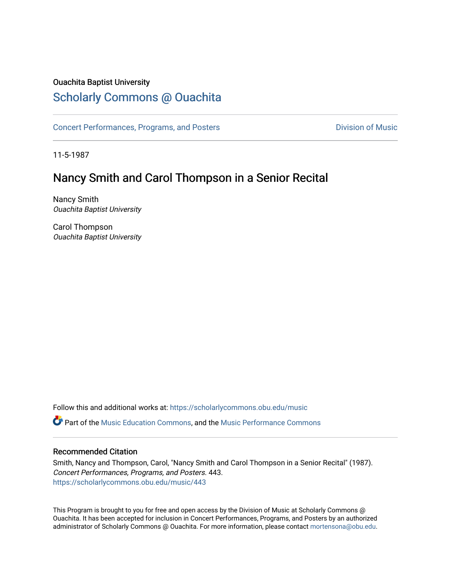### Ouachita Baptist University

## [Scholarly Commons @ Ouachita](https://scholarlycommons.obu.edu/)

[Concert Performances, Programs, and Posters](https://scholarlycommons.obu.edu/music) **Division of Music** Division of Music

11-5-1987

# Nancy Smith and Carol Thompson in a Senior Recital

Nancy Smith Ouachita Baptist University

Carol Thompson Ouachita Baptist University

Follow this and additional works at: [https://scholarlycommons.obu.edu/music](https://scholarlycommons.obu.edu/music?utm_source=scholarlycommons.obu.edu%2Fmusic%2F443&utm_medium=PDF&utm_campaign=PDFCoverPages)  Part of the [Music Education Commons,](http://network.bepress.com/hgg/discipline/1246?utm_source=scholarlycommons.obu.edu%2Fmusic%2F443&utm_medium=PDF&utm_campaign=PDFCoverPages) and the [Music Performance Commons](http://network.bepress.com/hgg/discipline/1128?utm_source=scholarlycommons.obu.edu%2Fmusic%2F443&utm_medium=PDF&utm_campaign=PDFCoverPages) 

### Recommended Citation

Smith, Nancy and Thompson, Carol, "Nancy Smith and Carol Thompson in a Senior Recital" (1987). Concert Performances, Programs, and Posters. 443. [https://scholarlycommons.obu.edu/music/443](https://scholarlycommons.obu.edu/music/443?utm_source=scholarlycommons.obu.edu%2Fmusic%2F443&utm_medium=PDF&utm_campaign=PDFCoverPages) 

This Program is brought to you for free and open access by the Division of Music at Scholarly Commons @ Ouachita. It has been accepted for inclusion in Concert Performances, Programs, and Posters by an authorized administrator of Scholarly Commons @ Ouachita. For more information, please contact [mortensona@obu.edu](mailto:mortensona@obu.edu).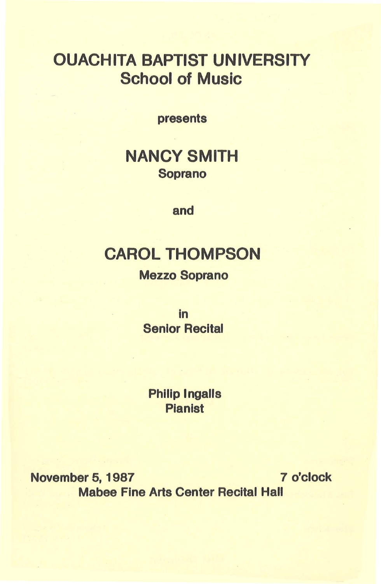# OUACHITA BAPTIST UNIVERSITY School of Music

presents

# NANCY SMITH Soprano

and

# CAROL THOMPSON

### Mezzo Soprano

in Senior Recital

Philip Ingalls Pianist

November 5, 1987 7 o'clock Mabee Fine Arts Center Recital Hall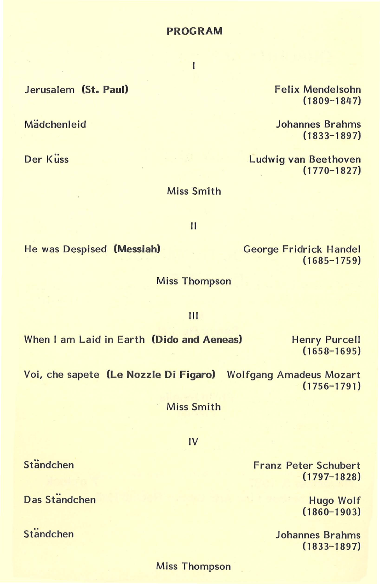#### Miss Thompson

Mädchenleid

Jerusalem **(St. Paul)** 

Der Küss

Miss Thompson

Ill

Miss Smith

II

When I am Laid in Earth **(Dido and Aeneas)** 

Voi, che sapete **(Le Nozzle Di Figaro)** Wolfgang Amadeus Mozart (1756-1791)

Miss Smith

IV

Franz Peter Schubert (1797-1828)

> Hugo Wolf (1860-1903)

Johannes Brahms (1833- 1897)

Johannes Brahms

Ludwig van Beethoven

Felix Mendelsohn (1809-1847}

(1833-1897)

(1770-1827)

George Fridrick Handel

 $(1685 - 1759)$ 

Henry Purcell (1658-1695)

 $\overline{1}$ 

He was Despised **(Messiah)** 

Das Ständchen

**Ständchen** 

Ständchen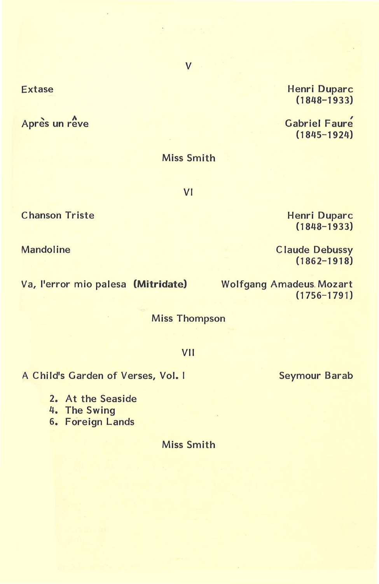### Extase

Après un rêve

Henri Duparc (1848-1933)

Gabriel Faure (1845-1924)

### Miss Smith

VI

Henri Duparc (1848-1933)

Claude Debussy  $(1862 - 1918)$ 

Seymour Barab

Wolfgang Amadeus. Mozart (1756-1791)

Miss Thompson

#### VII

A Child's Garden of Verses, Vol. I

2. At the Seaside

4. The Swing

6. Foreign Lands

Miss Smith

Chanson Triste

Mandoline

Va, l'error mio palesa **(Mitridate)** 

# v